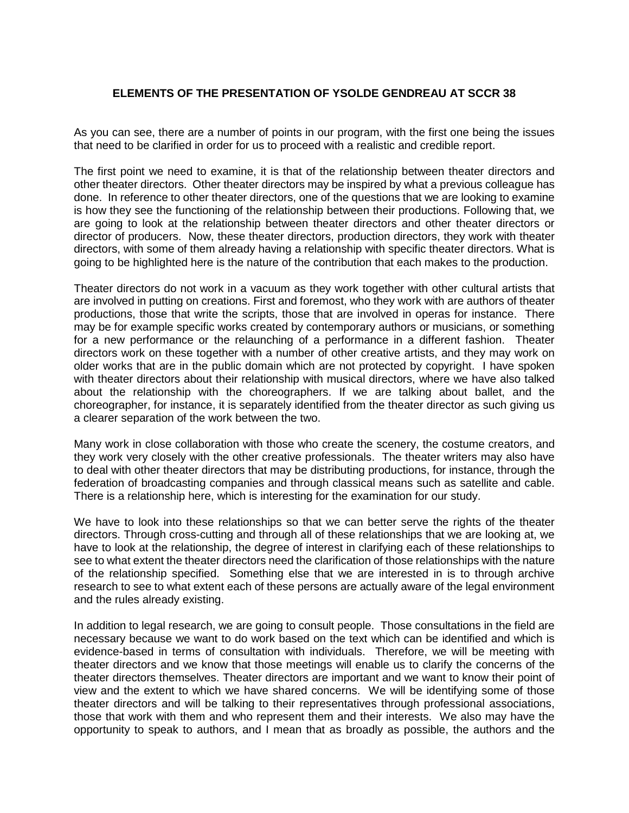## **ELEMENTS OF THE PRESENTATION OF YSOLDE GENDREAU AT SCCR 38**

As you can see, there are a number of points in our program, with the first one being the issues that need to be clarified in order for us to proceed with a realistic and credible report.

The first point we need to examine, it is that of the relationship between theater directors and other theater directors. Other theater directors may be inspired by what a previous colleague has done. In reference to other theater directors, one of the questions that we are looking to examine is how they see the functioning of the relationship between their productions. Following that, we are going to look at the relationship between theater directors and other theater directors or director of producers. Now, these theater directors, production directors, they work with theater directors, with some of them already having a relationship with specific theater directors. What is going to be highlighted here is the nature of the contribution that each makes to the production.

Theater directors do not work in a vacuum as they work together with other cultural artists that are involved in putting on creations. First and foremost, who they work with are authors of theater productions, those that write the scripts, those that are involved in operas for instance. There may be for example specific works created by contemporary authors or musicians, or something for a new performance or the relaunching of a performance in a different fashion. Theater directors work on these together with a number of other creative artists, and they may work on older works that are in the public domain which are not protected by copyright. I have spoken with theater directors about their relationship with musical directors, where we have also talked about the relationship with the choreographers. If we are talking about ballet, and the choreographer, for instance, it is separately identified from the theater director as such giving us a clearer separation of the work between the two.

Many work in close collaboration with those who create the scenery, the costume creators, and they work very closely with the other creative professionals. The theater writers may also have to deal with other theater directors that may be distributing productions, for instance, through the federation of broadcasting companies and through classical means such as satellite and cable. There is a relationship here, which is interesting for the examination for our study.

We have to look into these relationships so that we can better serve the rights of the theater directors. Through cross-cutting and through all of these relationships that we are looking at, we have to look at the relationship, the degree of interest in clarifying each of these relationships to see to what extent the theater directors need the clarification of those relationships with the nature of the relationship specified. Something else that we are interested in is to through archive research to see to what extent each of these persons are actually aware of the legal environment and the rules already existing.

In addition to legal research, we are going to consult people. Those consultations in the field are necessary because we want to do work based on the text which can be identified and which is evidence-based in terms of consultation with individuals. Therefore, we will be meeting with theater directors and we know that those meetings will enable us to clarify the concerns of the theater directors themselves. Theater directors are important and we want to know their point of view and the extent to which we have shared concerns. We will be identifying some of those theater directors and will be talking to their representatives through professional associations, those that work with them and who represent them and their interests. We also may have the opportunity to speak to authors, and I mean that as broadly as possible, the authors and the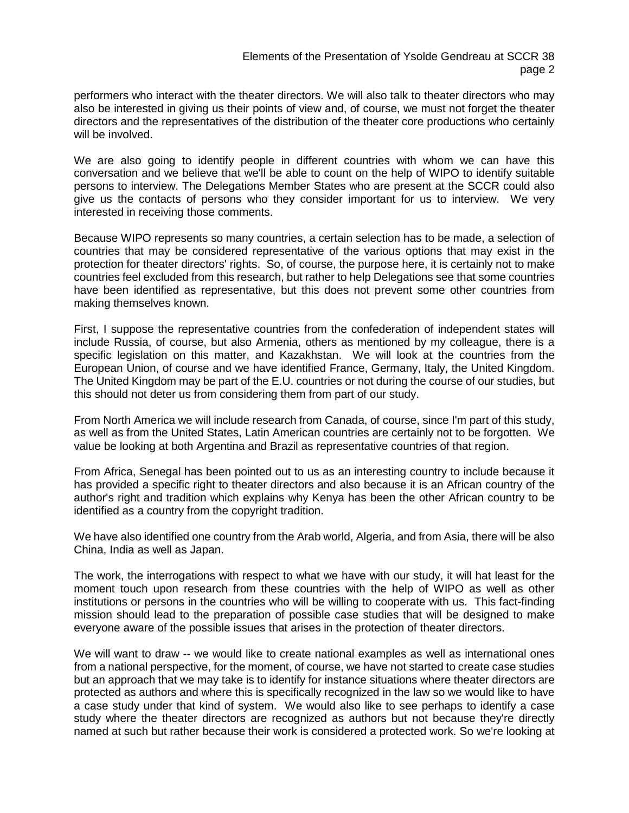performers who interact with the theater directors. We will also talk to theater directors who may also be interested in giving us their points of view and, of course, we must not forget the theater directors and the representatives of the distribution of the theater core productions who certainly will be involved.

We are also going to identify people in different countries with whom we can have this conversation and we believe that we'll be able to count on the help of WIPO to identify suitable persons to interview. The Delegations Member States who are present at the SCCR could also give us the contacts of persons who they consider important for us to interview. We very interested in receiving those comments.

Because WIPO represents so many countries, a certain selection has to be made, a selection of countries that may be considered representative of the various options that may exist in the protection for theater directors' rights. So, of course, the purpose here, it is certainly not to make countries feel excluded from this research, but rather to help Delegations see that some countries have been identified as representative, but this does not prevent some other countries from making themselves known.

First, I suppose the representative countries from the confederation of independent states will include Russia, of course, but also Armenia, others as mentioned by my colleague, there is a specific legislation on this matter, and Kazakhstan. We will look at the countries from the European Union, of course and we have identified France, Germany, Italy, the United Kingdom. The United Kingdom may be part of the E.U. countries or not during the course of our studies, but this should not deter us from considering them from part of our study.

From North America we will include research from Canada, of course, since I'm part of this study, as well as from the United States, Latin American countries are certainly not to be forgotten. We value be looking at both Argentina and Brazil as representative countries of that region.

From Africa, Senegal has been pointed out to us as an interesting country to include because it has provided a specific right to theater directors and also because it is an African country of the author's right and tradition which explains why Kenya has been the other African country to be identified as a country from the copyright tradition.

We have also identified one country from the Arab world, Algeria, and from Asia, there will be also China, India as well as Japan.

The work, the interrogations with respect to what we have with our study, it will hat least for the moment touch upon research from these countries with the help of WIPO as well as other institutions or persons in the countries who will be willing to cooperate with us. This fact-finding mission should lead to the preparation of possible case studies that will be designed to make everyone aware of the possible issues that arises in the protection of theater directors.

We will want to draw -- we would like to create national examples as well as international ones from a national perspective, for the moment, of course, we have not started to create case studies but an approach that we may take is to identify for instance situations where theater directors are protected as authors and where this is specifically recognized in the law so we would like to have a case study under that kind of system. We would also like to see perhaps to identify a case study where the theater directors are recognized as authors but not because they're directly named at such but rather because their work is considered a protected work. So we're looking at